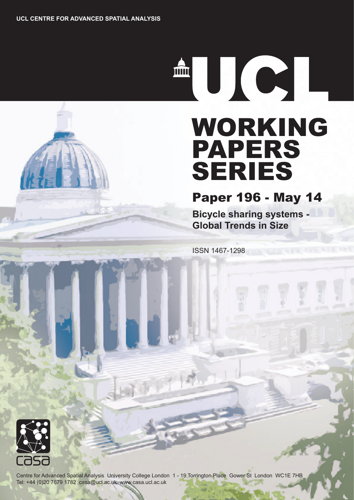# WORKING PAPERS SERIES

## Paper 196 - May 14

**Bicycle sharing systems - Global Trends in Size**

ISSN 1467-1298



Centre for Advanced Spatial Analysis University College London 1 - 19 Torrington Place Gower St London WC1E 7HB Tel: +44 (0)20 7679 1782 casa@ucl.ac.uk www.casa.ucl.ac.uk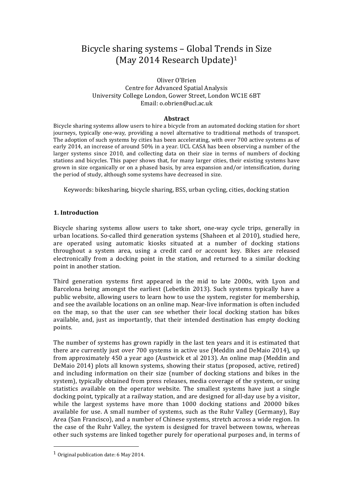### Bicycle sharing systems – Global Trends in Size (May 2014 Research Update)<sup>1</sup>

#### Oliver O'Brien Centre for Advanced Spatial Analysis University College London, Gower Street, London WC1E 6BT Email: o.obrien@ucl.ac.uk

#### **Abstract**

Bicycle sharing systems allow users to hire a bicycle from an automated docking station for short journeys, typically one-way, providing a novel alternative to traditional methods of transport. The adoption of such systems by cities has been accelerating, with over 700 active systems as of early 2014, an increase of around 50% in a year. UCL CASA has been observing a number of the larger systems since  $2010$ , and collecting data on their size in terms of numbers of docking stations and bicycles. This paper shows that, for many larger cities, their existing systems have grown in size organically or on a phased basis, by area expansion and/or intensification, during the period of study, although some systems have decreased in size.

Keywords: bikesharing, bicycle sharing, BSS, urban cycling, cities, docking station

#### **1. Introduction**

Bicycle sharing systems allow users to take short, one-way cycle trips, generally in urban locations. So-called third generation systems (Shaheen et al 2010), studied here, are operated using automatic kiosks situated at a number of docking stations throughout a system area, using a credit card or account key. Bikes are released electronically from a docking point in the station, and returned to a similar docking point in another station.

Third generation systems first appeared in the mid to late 2000s, with Lyon and Barcelona being amongst the earliest (Lebetkin 2013). Such systems typically have a public website, allowing users to learn how to use the system, register for membership, and see the available locations on an online map. Near-live information is often included on the map, so that the user can see whether their local docking station has bikes available, and, just as importantly, that their intended destination has empty docking points. 

The number of systems has grown rapidly in the last ten years and it is estimated that there are currently just over 700 systems in active use (Meddin and DeMaio 2014), up from approximately 450 a year ago (Austwick et al 2013). An online map (Meddin and DeMaio 2014) plots all known systems, showing their status (proposed, active, retired) and including information on their size (number of docking stations and bikes in the system), typically obtained from press releases, media coverage of the system, or using statistics available on the operator website. The smallest systems have just a single docking point, typically at a railway station, and are designed for all-day use by a visitor, while the largest systems have more than  $1000$  docking stations and  $20000$  bikes available for use. A small number of systems, such as the Ruhr Valley (Germany), Bay Area (San Francisco), and a number of Chinese systems, stretch across a wide region. In the case of the Ruhr Valley, the system is designed for travel between towns, whereas other such systems are linked together purely for operational purposes and, in terms of

 <sup>1</sup> Original publication date:  $6$  May 2014.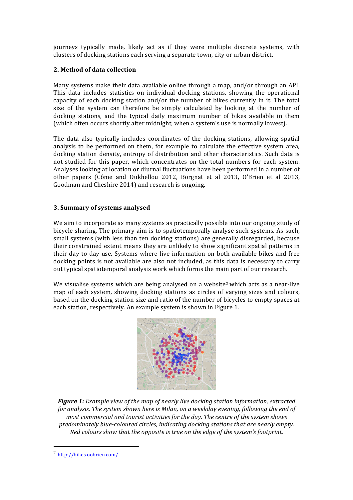journeys typically made, likely act as if they were multiple discrete systems, with clusters of docking stations each serving a separate town, city or urban district.

#### **2. Method of data collection**

Many systems make their data available online through a map, and/or through an API. This data includes statistics on individual docking stations, showing the operational capacity of each docking station and/or the number of bikes currently in it. The total size of the system can therefore be simply calculated by looking at the number of docking stations, and the typical daily maximum number of bikes available in them (which often occurs shortly after midnight, when a system's use is normally lowest).

The data also typically includes coordinates of the docking stations, allowing spatial analysis to be performed on them, for example to calculate the effective system area, docking station density, entropy of distribution and other characteristics. Such data is not studied for this paper, which concentrates on the total numbers for each system. Analyses looking at location or diurnal fluctuations have been performed in a number of other papers (Côme and Oukhellou 2012, Borgnat et al 2013, O'Brien et al 2013, Goodman and Cheshire 2014) and research is ongoing.

#### **3. Summary of systems analysed**

We aim to incorporate as many systems as practically possible into our ongoing study of bicycle sharing. The primary aim is to spatiotemporally analyse such systems. As such, small systems (with less than ten docking stations) are generally disregarded, because their constrained extent means they are unlikely to show significant spatial patterns in their day-to-day use. Systems where live information on both available bikes and free docking points is not available are also not included, as this data is necessary to carry out typical spatiotemporal analysis work which forms the main part of our research.

We visualise systems which are being analysed on a website<sup>2</sup> which acts as a near-live map of each system, showing docking stations as circles of varying sizes and colours, based on the docking station size and ratio of the number of bicycles to empty spaces at each station, respectively. An example system is shown in Figure 1.



*Figure* 1: *Example* view of the map of nearly live docking station information, extracted for analysis. The system shown here is Milan, on a weekday evening, following the end of *most commercial and tourist activities for the day. The centre of the system shows predominately blue-coloured circles, indicating docking stations that are nearly empty. Red colours show that the opposite is true on the edge of the system's footprint.* 

 

<sup>2</sup> http://bikes.oobrien.com/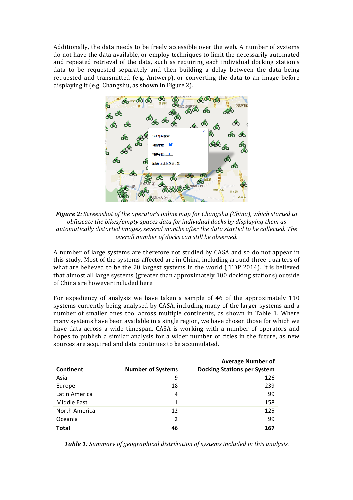Additionally, the data needs to be freely accessible over the web. A number of systems do not have the data available, or employ techniques to limit the necessarily automated and repeated retrieval of the data, such as requiring each individual docking station's data to be requested separately and then building a delay between the data being requested and transmitted (e.g. Antwerp), or converting the data to an image before displaying it (e.g. Changshu, as shown in Figure 2).



*Figure* 2: *Screenshot of the operator's online map for Changshu (China), which started to obfuscate the bikes/empty spaces data for individual docks by displaying them as automatically distorted images, several months after the data started to be collected. The overall number of docks can still be observed.*

A number of large systems are therefore not studied by CASA and so do not appear in this study. Most of the systems affected are in China, including around three-quarters of what are believed to be the 20 largest systems in the world (ITDP 2014). It is believed that almost all large systems (greater than approximately 100 docking stations) outside of China are however included here.

For expediency of analysis we have taken a sample of 46 of the approximately  $110$ systems currently being analysed by CASA, including many of the larger systems and a number of smaller ones too, across multiple continents, as shown in Table 1. Where many systems have been available in a single region, we have chosen those for which we have data across a wide timespan. CASA is working with a number of operators and hopes to publish a similar analysis for a wider number of cities in the future, as new sources are acquired and data continues to be accumulated.

| Continent     | <b>Number of Systems</b> | <b>Average Number of</b><br><b>Docking Stations per System</b> |
|---------------|--------------------------|----------------------------------------------------------------|
| Asia          | 9                        | 126                                                            |
| Europe        | 18                       | 239                                                            |
| Latin America | 4                        | 99                                                             |
| Middle East   | 1                        | 158                                                            |
| North America | 12                       | 125                                                            |
| Oceania       | $\mathcal{P}$            | 99                                                             |
| Total         | 46                       | 167                                                            |

**Table 1***:* Summary of geographical distribution of systems included in this analysis.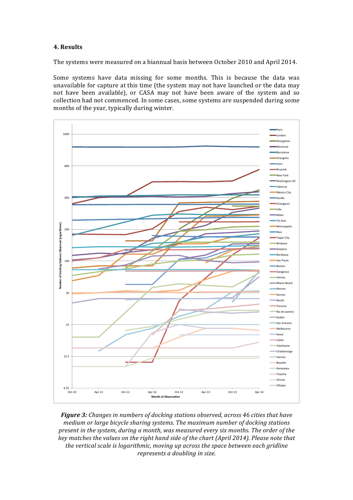#### **4. Results**

The systems were measured on a biannual basis between October 2010 and April 2014.

Some systems have data missing for some months. This is because the data was unavailable for capture at this time (the system may not have launched or the data may not have been available), or CASA may not have been aware of the system and so collection had not commenced. In some cases, some systems are suspended during some months of the year, typically during winter.



**Figure 3:** Changes in numbers of docking stations observed, across 46 cities that have *medium or large bicycle sharing systems. The maximum number of docking stations present in the system, during a month, was measured every six months. The order of the key* matches the values on the right hand side of the chart (April 2014). Please note that the vertical scale is logarithmic, moving up across the space between each gridline *represents a doubling in size.*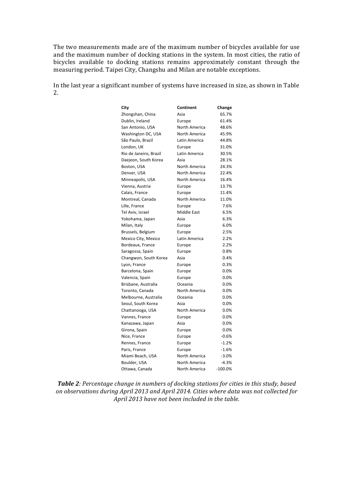The two measurements made are of the maximum number of bicycles available for use and the maximum number of docking stations in the system. In most cities, the ratio of bicycles available to docking stations remains approximately constant through the measuring period. Taipei City, Changshu and Milan are notable exceptions.

In the last year a significant number of systems have increased in size, as shown in Table 2.

| City                   | Continent     | Change    |
|------------------------|---------------|-----------|
| Zhongshan, China       | Asia          | 65.7%     |
| Dublin, Ireland        | Europe        | 61.4%     |
| San Antonio, USA       | North America | 48.6%     |
| Washington DC, USA     | North America | 45.9%     |
| São Paulo, Brazil      | Latin America | 44.8%     |
| London, UK             | Europe        | 31.0%     |
| Rio de Janeiro, Brazil | Latin America | 30.5%     |
| Daejeon, South Korea   | Asia          | 28.1%     |
| Boston, USA            | North America | 24.3%     |
| Denver, USA            | North America | 22.4%     |
| Minneapolis, USA       | North America | 16.4%     |
| Vienna, Austria        | Europe        | 13.7%     |
| Calais, France         | Europe        | 11.4%     |
| Montreal, Canada       | North America | 11.0%     |
| Lille, France          | Europe        | 7.6%      |
| Tel Aviv, Israel       | Middle East   | 6.5%      |
| Yokohama, Japan        | Asia          | 6.3%      |
| Milan, Italy           | Europe        | 6.0%      |
| Brussels, Belgium      | Europe        | 2.5%      |
| Mexico City, Mexico    | Latin America | 2.2%      |
| Bordeaux, France       | Europe        | 2.2%      |
| Saragossa, Spain       | Europe        | 0.8%      |
| Changwon, South Korea  | Asia          | 0.4%      |
| Lyon, France           | Europe        | 0.3%      |
| Barcelona, Spain       | Europe        | 0.0%      |
| Valencia, Spain        | Europe        | 0.0%      |
| Brisbane, Australia    | Oceania       | 0.0%      |
| Toronto, Canada        | North America | 0.0%      |
| Melbourne, Australia   | Oceania       | 0.0%      |
| Seoul, South Korea     | Asia          | 0.0%      |
| Chattanooga, USA       | North America | 0.0%      |
| Vannes, France         | Europe        | 0.0%      |
| Kanazawa, Japan        | Asia          | 0.0%      |
| Girona, Spain          | Europe        | 0.0%      |
| Nice, France           | Europe        | $-0.6%$   |
| Rennes, France         | Europe        | $-1.2%$   |
| Paris, France          | Europe        | $-1.6%$   |
| Miami Beach, USA       | North America | $-3.0%$   |
| Boulder, USA           | North America | $-4.3%$   |
| Ottawa, Canada         | North America | $-100.0%$ |

Table 2: Percentage change in numbers of docking stations for cities in this study, based on observations during April 2013 and April 2014. Cities where data was not collected for April 2013 have not been included in the table.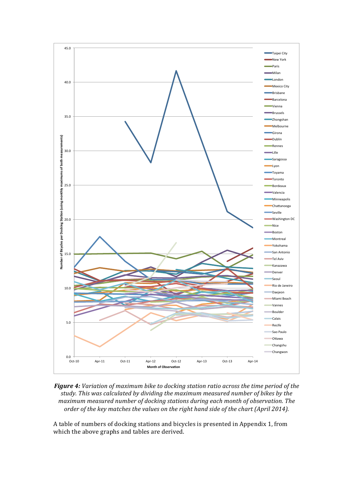

Figure 4: Variation of maximum bike to docking station ratio across the time period of the study. This was calculated by dividing the maximum measured number of bikes by the *maximum* measured number of docking stations during each month of observation. The order of the key matches the values on the right hand side of the chart (April 2014).

A table of numbers of docking stations and bicycles is presented in Appendix 1, from which the above graphs and tables are derived.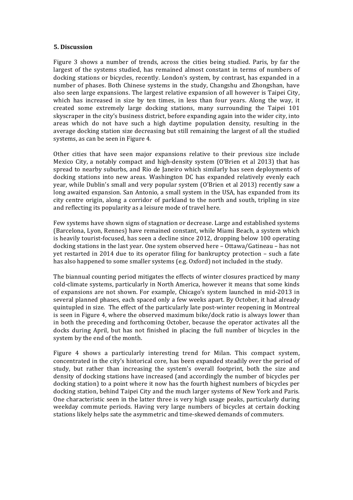#### **5. Discussion**

Figure 3 shows a number of trends, across the cities being studied. Paris, by far the largest of the systems studied, has remained almost constant in terms of numbers of docking stations or bicycles, recently. London's system, by contrast, has expanded in a number of phases. Both Chinese systems in the study, Changshu and Zhongshan, have also seen large expansions. The largest relative expansion of all however is Taipei City, which has increased in size by ten times, in less than four years. Along the way, it created some extremely large docking stations, many surrounding the Taipei 101 skyscraper in the city's business district, before expanding again into the wider city, into areas which do not have such a high daytime population density, resulting in the average docking station size decreasing but still remaining the largest of all the studied systems, as can be seen in Figure 4.

Other cities that have seen major expansions relative to their previous size include Mexico City, a notably compact and high-density system (O'Brien et al 2013) that has spread to nearby suburbs, and Rio de Janeiro which similarly has seen deployments of docking stations into new areas. Washington DC has expanded relatively evenly each year, while Dublin's small and very popular system (O'Brien et al 2013) recently saw a long awaited expansion. San Antonio, a small system in the USA, has expanded from its city centre origin, along a corridor of parkland to the north and south, tripling in size and reflecting its popularity as a leisure mode of travel here.

Few systems have shown signs of stagnation or decrease. Large and established systems (Barcelona, Lyon, Rennes) have remained constant, while Miami Beach, a system which is heavily tourist-focused, has seen a decline since  $2012$ , dropping below 100 operating docking stations in the last year. One system observed here  $-$  Ottawa/Gatineau  $-$  has not yet restarted in 2014 due to its operator filing for bankruptcy protection - such a fate has also happened to some smaller systems (e.g. Oxford) not included in the study.

The biannual counting period mitigates the effects of winter closures practiced by many cold-climate systems, particularly in North America, however it means that some kinds of expansions are not shown. For example, Chicago's system launched in mid-2013 in several planned phases, each spaced only a few weeks apart. By October, it had already quintupled in size. The effect of the particularly late post-winter reopening in Montreal is seen in Figure 4, where the observed maximum bike/dock ratio is always lower than in both the preceding and forthcoming October, because the operator activates all the docks during April, but has not finished in placing the full number of bicycles in the system by the end of the month.

Figure 4 shows a particularly interesting trend for Milan. This compact system, concentrated in the city's historical core, has been expanded steadily over the period of study, but rather than increasing the system's overall footprint, both the size and density of docking stations have increased (and accordingly the number of bicycles per docking station) to a point where it now has the fourth highest numbers of bicycles per docking station, behind Taipei City and the much larger systems of New York and Paris. One characteristic seen in the latter three is very high usage peaks, particularly during weekday commute periods. Having very large numbers of bicycles at certain docking stations likely helps sate the asymmetric and time-skewed demands of commuters.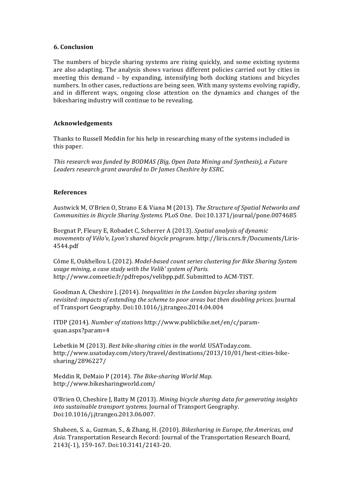#### **6. Conclusion**

The numbers of bicycle sharing systems are rising quickly, and some existing systems are also adapting. The analysis shows various different policies carried out by cities in meeting this demand - by expanding, intensifying both docking stations and bicycles numbers. In other cases, reductions are being seen. With many systems evolving rapidly, and in different ways, ongoing close attention on the dynamics and changes of the bikesharing industry will continue to be revealing.

#### **Acknowledgements**

Thanks to Russell Meddin for his help in researching many of the systems included in this paper.

*This research was funded by BODMAS (Big, Open Data Mining and Synthesis), a Future* Leaders research grant awarded to Dr James Cheshire by ESRC.

#### **References**

Austwick M, O'Brien O, Strano E & Viana M (2013). The Structure of Spatial Networks and *Communities in Bicycle Sharing Systems.* PLoS One. Doi:10.1371/journal/pone.0074685

Borgnat P, Fleury E, Robadet C, Scherrer A (2013). *Spatial analysis of dynamic movements of Vélo'v, Lyon's shared bicycle program.* http://liris.cnrs.fr/Documents/Liris-4544.pdf

Côme E, Oukhellou L (2012). *Model-based count series clustering for Bike Sharing System* usage mining, a case study with the Velib' system of Paris. http://www.comeetie.fr/pdfrepos/velibpp.pdf. Submitted to ACM-TIST.

Goodman A, Cheshire J. (2014). *Inequalities in the London bicycles sharing system revisited: impacts of extending the scheme to poor areas but then doubling prices.* Journal of Transport Geography. Doi:10.1016/j.jtrangeo.2014.04.004

ITDP (2014). *Number of stations* http://www.publicbike.net/en/c/paramquan.aspx?param=4

Lebetkin M (2013). *Best bike-sharing cities in the world.* USAToday.com. http://www.usatoday.com/story/travel/destinations/2013/10/01/best-cities-bikesharing/2896227/

Meddin R, DeMaio P (2014). *The Bike-sharing World Map.* http://www.bikesharingworld.com/

O'Brien O, Cheshire J, Batty M (2013). *Mining bicycle sharing data for generating insights into sustainable transport systems.* Journal of Transport Geography. Doi:10.1016/j.jtrangeo.2013.06.007.

Shaheen, S. a., Guzman, S., & Zhang, H. (2010). *Bikesharing in Europe, the Americas, and* Asia. Transportation Research Record: Journal of the Transportation Research Board, 2143(-1), 159-167. Doi:10.3141/2143-20.